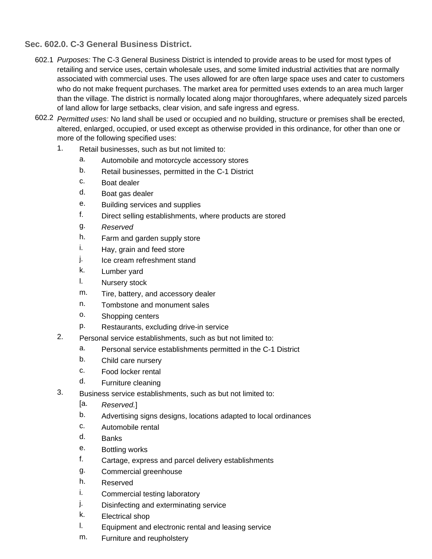**Sec. 602.0. C-3 General Business District.**

- 602.1 *Purposes:* The C-3 General Business District is intended to provide areas to be used for most types of retailing and service uses, certain wholesale uses, and some limited industrial activities that are normally associated with commercial uses. The uses allowed for are often large space uses and cater to customers who do not make frequent purchases. The market area for permitted uses extends to an area much larger than the village. The district is normally located along major thoroughfares, where adequately sized parcels of land allow for large setbacks, clear vision, and safe ingress and egress.
- 602.2 *Permitted uses:* No land shall be used or occupied and no building, structure or premises shall be erected, altered, enlarged, occupied, or used except as otherwise provided in this ordinance, for other than one or more of the following specified uses:
	- 1. Retail businesses, such as but not limited to:
		- a. Automobile and motorcycle accessory stores
		- b. Retail businesses, permitted in the C-1 District
		- c. Boat dealer
		- d. Boat gas dealer
		- e. Building services and supplies
		- f. Direct selling establishments, where products are stored
		- g. *Reserved*
		- h. Farm and garden supply store
		- i. Hay, grain and feed store
		- j. Ice cream refreshment stand
		- k. Lumber yard
		- l. Nursery stock
		- m. Tire, battery, and accessory dealer
		- n. Tombstone and monument sales
		- o. Shopping centers
		- p. Restaurants, excluding drive-in service
	- 2. Personal service establishments, such as but not limited to:
		- a. Personal service establishments permitted in the C-1 District
		- b. Child care nursery
		- c. Food locker rental
		- d. Furniture cleaning
		- Business service establishments, such as but not limited to:
			- [a. *Reserved.*]
			- b. Advertising signs designs, locations adapted to local ordinances
			- c. Automobile rental
			- d. Banks

3.

- e. Bottling works
- f. Cartage, express and parcel delivery establishments
- g. Commercial greenhouse
- h. Reserved
- i. Commercial testing laboratory
- j. Disinfecting and exterminating service
- k. Electrical shop
- l. Equipment and electronic rental and leasing service
- m. Furniture and reupholstery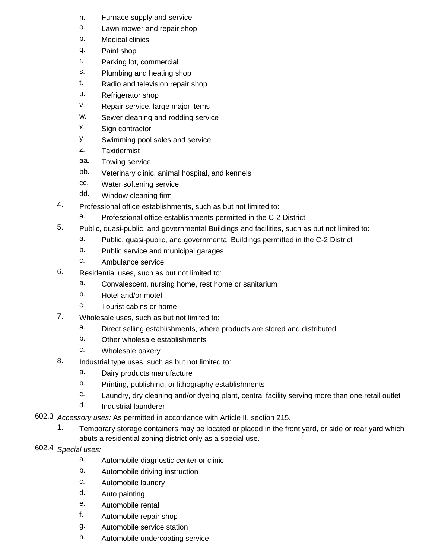- n. Furnace supply and service
- o. Lawn mower and repair shop
- p. Medical clinics
- q. Paint shop
- r. Parking lot, commercial
- s. Plumbing and heating shop
- t. Radio and television repair shop
- u. Refrigerator shop
- v. Repair service, large major items
- w. Sewer cleaning and rodding service
- x. Sign contractor
- y. Swimming pool sales and service
- z. **Taxidermist**
- aa. Towing service
- bb. Veterinary clinic, animal hospital, and kennels
- cc. Water softening service
- dd. Window cleaning firm
- 4. Professional office establishments, such as but not limited to:
	- a. Professional office establishments permitted in the C-2 District
- 5. Public, quasi-public, and governmental Buildings and facilities, such as but not limited to:
	- a. Public, quasi-public, and governmental Buildings permitted in the C-2 District
	- b. Public service and municipal garages
	- c. Ambulance service
- 6. Residential uses, such as but not limited to:
	- a. Convalescent, nursing home, rest home or sanitarium
	- b. Hotel and/or motel
	- c. Tourist cabins or home
- 7. Wholesale uses, such as but not limited to:
	- a. Direct selling establishments, where products are stored and distributed
	- b. Other wholesale establishments
	- c. Wholesale bakery
- 8. Industrial type uses, such as but not limited to:
	- a. Dairy products manufacture
	- b. Printing, publishing, or lithography establishments
	- c. Laundry, dry cleaning and/or dyeing plant, central facility serving more than one retail outlet
	- d. Industrial launderer
- 602.3 *Accessory uses:* As permitted in accordance with Article II, section 215.
	- 1. Temporary storage containers may be located or placed in the front yard, or side or rear yard which abuts a residential zoning district only as a special use.
- 602.4 *Special uses:*
	- a. Automobile diagnostic center or clinic
	- b. Automobile driving instruction
	- c. Automobile laundry
	- d. Auto painting
	- e. Automobile rental
	- f. Automobile repair shop
	- g. Automobile service station
	- h. Automobile undercoating service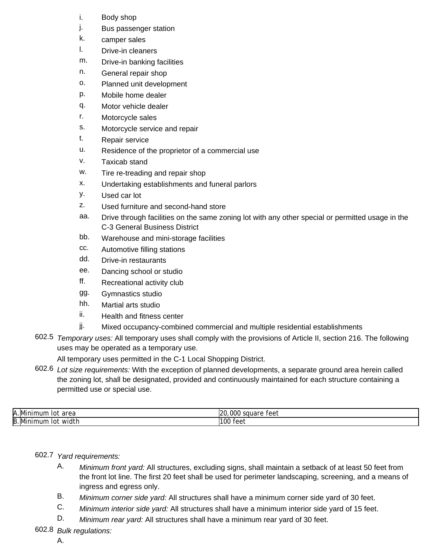- i. Body shop
- j. Bus passenger station
- k. camper sales
- l. Drive-in cleaners
- m. Drive-in banking facilities
- n. General repair shop
- o. Planned unit development
- p. Mobile home dealer
- q. Motor vehicle dealer
- r. Motorcycle sales
- s. Motorcycle service and repair
- t. Repair service
- u. Residence of the proprietor of a commercial use
- v. Taxicab stand
- w. Tire re-treading and repair shop
- x. Undertaking establishments and funeral parlors
- y. Used car lot
- z. Used furniture and second-hand store
- aa. Drive through facilities on the same zoning lot with any other special or permitted usage in the C-3 General Business District
- bb. Warehouse and mini-storage facilities
- cc. Automotive filling stations
- dd. Drive-in restaurants
- ee. Dancing school or studio
- ff. Recreational activity club
- gg. Gymnastics studio
- hh. Martial arts studio
- ii. Health and fitness center
- jj. Mixed occupancy-combined commercial and multiple residential establishments
- 602.5 *Temporary uses:* All temporary uses shall comply with the provisions of Article II, section 216. The following uses may be operated as a temporary use.

All temporary uses permitted in the C-1 Local Shopping District.

602.6 *Lot size requirements:* With the exception of planned developments, a separate ground area herein called the zoning lot, shall be designated, provided and continuously maintained for each structure containing a permitted use or special use.

| Α. | .<br>area<br>าur<br>MТ<br>10 I<br>ш | 000<br>120<br>square<br>۵۵٠<br>। ७७। |
|----|-------------------------------------|--------------------------------------|
| B. | widtl<br>านท<br>VIII<br>ПH<br>10 I  | 100<br>1 U U<br>$\cdots$             |

## 602.7 *Yard requirements:*

- A. *Minimum front yard:* All structures, excluding signs, shall maintain a setback of at least 50 feet from the front lot line. The first 20 feet shall be used for perimeter landscaping, screening, and a means of ingress and egress only.
- B. *Minimum corner side yard:* All structures shall have a minimum corner side yard of 30 feet.
- C. *Minimum interior side yard:* All structures shall have a minimum interior side yard of 15 feet.
- D. *Minimum rear yard:* All structures shall have a minimum rear yard of 30 feet.

## 602.8 *Bulk regulations:*

A.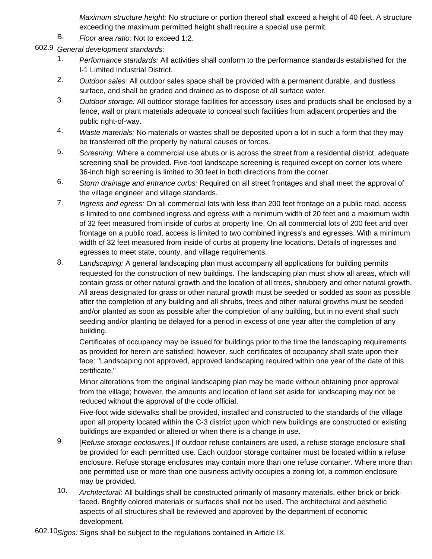*Maximum structure height:* No structure or portion thereof shall exceed a height of 40 feet. A structure exceeding the maximum permitted height shall require a special use permit.

- B. *Floor area ratio:* Not to exceed 1:2.
- 602.9 *General development standards:*
	- 1. *Performance standards:* All activities shall conform to the performance standards established for the I-1 Limited Industrial District.
	- 2. *Outdoor sales:* All outdoor sales space shall be provided with a permanent durable, and dustless surface, and shall be graded and drained as to dispose of all surface water.
	- 3. *Outdoor storage:* All outdoor storage facilities for accessory uses and products shall be enclosed by a fence, wall or plant materials adequate to conceal such facilities from adjacent properties and the public right-of-way.
	- 4. *Waste materials:* No materials or wastes shall be deposited upon a lot in such a form that they may be transferred off the property by natural causes or forces.
	- 5. *Screening:* Where a commercial use abuts or is across the street from a residential district, adequate screening shall be provided. Five-foot landscape screening is required except on corner lots where 36-inch high screening is limited to 30 feet in both directions from the corner.
	- 6. *Storm drainage and entrance curbs:* Required on all street frontages and shall meet the approval of the village engineer and village standards.
	- 7. *Ingress and egress:* On all commercial lots with less than 200 feet frontage on a public road, access is limited to one combined ingress and egress with a minimum width of 20 feet and a maximum width of 32 feet measured from inside of curbs at property line. On all commercial lots of 200 feet and over frontage on a public road, access is limited to two combined ingress's and egresses. With a minimum width of 32 feet measured from inside of curbs at property line locations. Details of ingresses and egresses to meet state, county, and village requirements.
	- 8. *Landscaping:* A general landscaping plan must accompany all applications for building permits requested for the construction of new buildings. The landscaping plan must show all areas, which will contain grass or other natural growth and the location of all trees, shrubbery and other natural growth. All areas designated for grass or other natural growth must be seeded or sodded as soon as possible after the completion of any building and all shrubs, trees and other natural growths must be seeded and/or planted as soon as possible after the completion of any building, but in no event shall such seeding and/or planting be delayed for a period in excess of one year after the completion of any building.

Certificates of occupancy may be issued for buildings prior to the time the landscaping requirements as provided for herein are satisfied; however, such certificates of occupancy shall state upon their face: "Landscaping not approved, approved landscaping required within one year of the date of this certificate."

Minor alterations from the original landscaping plan may be made without obtaining prior approval from the village; however, the amounts and location of land set aside for landscaping may not be reduced without the approval of the code official.

Five-foot wide sidewalks shall be provided, installed and constructed to the standards of the village upon all property located within the C-3 district upon which new buildings are constructed or existing buildings are expanded or altered or when there is a change in use.

- 9. [*Refuse storage enclosures.*] If outdoor refuse containers are used, a refuse storage enclosure shall be provided for each permitted use. Each outdoor storage container must be located within a refuse enclosure. Refuse storage enclosures may contain more than one refuse container. Where more than one permitted use or more than one business activity occupies a zoning lot, a common enclosure may be provided.
- 10. *Architectural:* All buildings shall be constructed primarily of masonry materials, either brick or brickfaced. Brightly colored materials or surfaces shall not be used. The architectural and aesthetic aspects of all structures shall be reviewed and approved by the department of economic development.

602.10 *Signs:* Signs shall be subject to the regulations contained in Article IX.